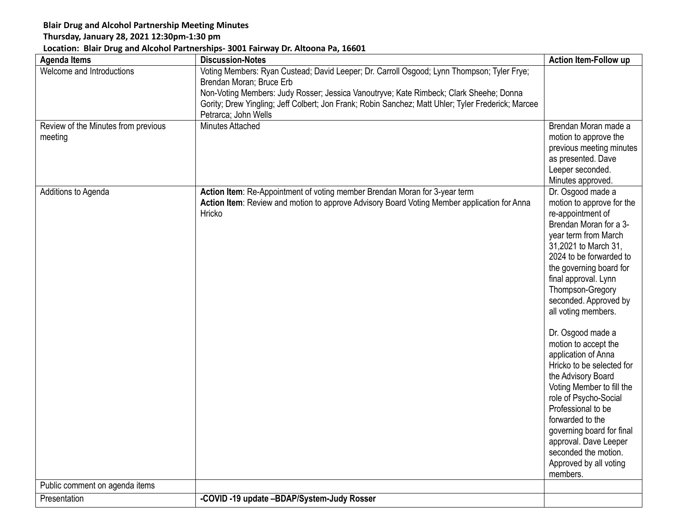## **Blair Drug and Alcohol Partnership Meeting Minutes**

## **Thursday, January 28, 2021 12:30pm-1:30 pm**

## **Location: Blair Drug and Alcohol Partnerships- 3001 Fairway Dr. Altoona Pa, 16601**

| <b>Agenda Items</b>                            | <b>Discussion-Notes</b>                                                                                                                                                                                                                                                                                                                        | <b>Action Item-Follow up</b>                                                                                                                                                                                                                                                                                                                                                                                                                                                                                                                                                                                                               |
|------------------------------------------------|------------------------------------------------------------------------------------------------------------------------------------------------------------------------------------------------------------------------------------------------------------------------------------------------------------------------------------------------|--------------------------------------------------------------------------------------------------------------------------------------------------------------------------------------------------------------------------------------------------------------------------------------------------------------------------------------------------------------------------------------------------------------------------------------------------------------------------------------------------------------------------------------------------------------------------------------------------------------------------------------------|
| Welcome and Introductions                      | Voting Members: Ryan Custead; David Leeper; Dr. Carroll Osgood; Lynn Thompson; Tyler Frye;<br>Brendan Moran; Bruce Erb<br>Non-Voting Members: Judy Rosser; Jessica Vanoutryve; Kate Rimbeck; Clark Sheehe; Donna<br>Gority; Drew Yingling; Jeff Colbert; Jon Frank; Robin Sanchez; Matt Uhler; Tyler Frederick; Marcee<br>Petrarca; John Wells |                                                                                                                                                                                                                                                                                                                                                                                                                                                                                                                                                                                                                                            |
| Review of the Minutes from previous<br>meeting | Minutes Attached                                                                                                                                                                                                                                                                                                                               | Brendan Moran made a<br>motion to approve the<br>previous meeting minutes<br>as presented. Dave<br>Leeper seconded.<br>Minutes approved.                                                                                                                                                                                                                                                                                                                                                                                                                                                                                                   |
| Additions to Agenda                            | Action Item: Re-Appointment of voting member Brendan Moran for 3-year term<br>Action Item: Review and motion to approve Advisory Board Voting Member application for Anna<br>Hricko                                                                                                                                                            | Dr. Osgood made a<br>motion to approve for the<br>re-appointment of<br>Brendan Moran for a 3-<br>year term from March<br>31,2021 to March 31,<br>2024 to be forwarded to<br>the governing board for<br>final approval. Lynn<br>Thompson-Gregory<br>seconded. Approved by<br>all voting members.<br>Dr. Osgood made a<br>motion to accept the<br>application of Anna<br>Hricko to be selected for<br>the Advisory Board<br>Voting Member to fill the<br>role of Psycho-Social<br>Professional to be<br>forwarded to the<br>governing board for final<br>approval. Dave Leeper<br>seconded the motion.<br>Approved by all voting<br>members. |
| Public comment on agenda items                 |                                                                                                                                                                                                                                                                                                                                                |                                                                                                                                                                                                                                                                                                                                                                                                                                                                                                                                                                                                                                            |
| Presentation                                   | -COVID -19 update -BDAP/System-Judy Rosser                                                                                                                                                                                                                                                                                                     |                                                                                                                                                                                                                                                                                                                                                                                                                                                                                                                                                                                                                                            |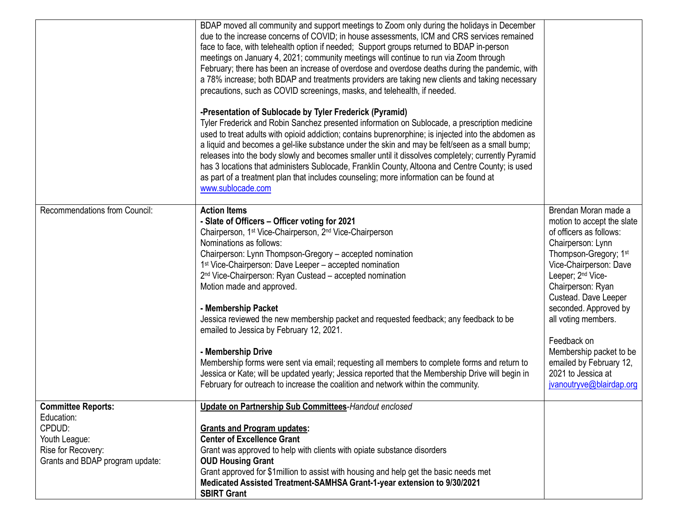|                                                                                                                             | BDAP moved all community and support meetings to Zoom only during the holidays in December<br>due to the increase concerns of COVID; in house assessments, ICM and CRS services remained<br>face to face, with telehealth option if needed; Support groups returned to BDAP in-person<br>meetings on January 4, 2021; community meetings will continue to run via Zoom through<br>February; there has been an increase of overdose and overdose deaths during the pandemic, with<br>a 78% increase; both BDAP and treatments providers are taking new clients and taking necessary<br>precautions, such as COVID screenings, masks, and telehealth, if needed.<br>-Presentation of Sublocade by Tyler Frederick (Pyramid)<br>Tyler Frederick and Robin Sanchez presented information on Sublocade, a prescription medicine<br>used to treat adults with opioid addiction; contains buprenorphine; is injected into the abdomen as<br>a liquid and becomes a gel-like substance under the skin and may be felt/seen as a small bump;<br>releases into the body slowly and becomes smaller until it dissolves completely; currently Pyramid<br>has 3 locations that administers Sublocade, Franklin County, Altoona and Centre County; is used<br>as part of a treatment plan that includes counseling; more information can be found at<br>www.sublocade.com |                                                                                                                                                                                                                                                                                                                                                                                                                        |
|-----------------------------------------------------------------------------------------------------------------------------|-------------------------------------------------------------------------------------------------------------------------------------------------------------------------------------------------------------------------------------------------------------------------------------------------------------------------------------------------------------------------------------------------------------------------------------------------------------------------------------------------------------------------------------------------------------------------------------------------------------------------------------------------------------------------------------------------------------------------------------------------------------------------------------------------------------------------------------------------------------------------------------------------------------------------------------------------------------------------------------------------------------------------------------------------------------------------------------------------------------------------------------------------------------------------------------------------------------------------------------------------------------------------------------------------------------------------------------------------------------|------------------------------------------------------------------------------------------------------------------------------------------------------------------------------------------------------------------------------------------------------------------------------------------------------------------------------------------------------------------------------------------------------------------------|
| Recommendations from Council:                                                                                               | <b>Action Items</b><br>- Slate of Officers - Officer voting for 2021<br>Chairperson, 1 <sup>st</sup> Vice-Chairperson, 2 <sup>nd</sup> Vice-Chairperson<br>Nominations as follows:<br>Chairperson: Lynn Thompson-Gregory - accepted nomination<br>1 <sup>st</sup> Vice-Chairperson: Dave Leeper - accepted nomination<br>2 <sup>nd</sup> Vice-Chairperson: Ryan Custead - accepted nomination<br>Motion made and approved.<br>- Membership Packet<br>Jessica reviewed the new membership packet and requested feedback; any feedback to be<br>emailed to Jessica by February 12, 2021.<br>- Membership Drive<br>Membership forms were sent via email; requesting all members to complete forms and return to<br>Jessica or Kate; will be updated yearly; Jessica reported that the Membership Drive will begin in<br>February for outreach to increase the coalition and network within the community.                                                                                                                                                                                                                                                                                                                                                                                                                                                      | Brendan Moran made a<br>motion to accept the slate<br>of officers as follows:<br>Chairperson: Lynn<br>Thompson-Gregory; 1 <sup>st</sup><br>Vice-Chairperson: Dave<br>Leeper; 2 <sup>nd</sup> Vice-<br>Chairperson: Ryan<br>Custead. Dave Leeper<br>seconded. Approved by<br>all voting members.<br>Feedback on<br>Membership packet to be<br>emailed by February 12,<br>2021 to Jessica at<br>jvanoutryve@blairdap.org |
| <b>Committee Reports:</b><br>Education:<br>CPDUD:<br>Youth League:<br>Rise for Recovery:<br>Grants and BDAP program update: | Update on Partnership Sub Committees-Handout enclosed<br><b>Grants and Program updates:</b><br><b>Center of Excellence Grant</b><br>Grant was approved to help with clients with opiate substance disorders<br><b>OUD Housing Grant</b><br>Grant approved for \$1 million to assist with housing and help get the basic needs met<br>Medicated Assisted Treatment-SAMHSA Grant-1-year extension to 9/30/2021<br><b>SBIRT Grant</b>                                                                                                                                                                                                                                                                                                                                                                                                                                                                                                                                                                                                                                                                                                                                                                                                                                                                                                                          |                                                                                                                                                                                                                                                                                                                                                                                                                        |